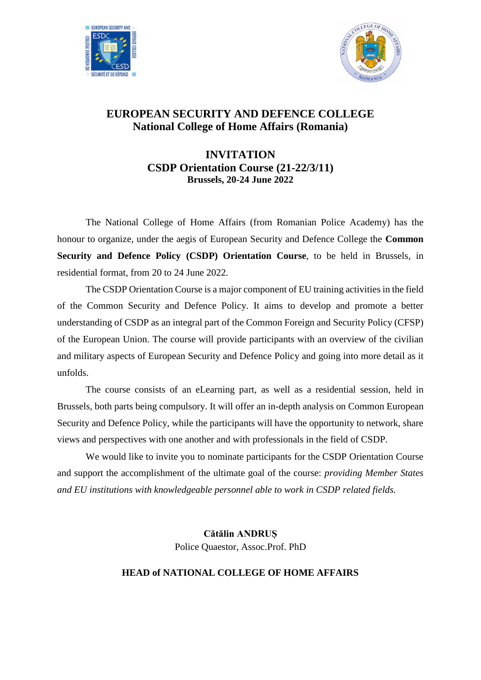



## **EUROPEAN SECURITY AND DEFENCE COLLEGE National College of Home Affairs (Romania)**

## **INVITATION CSDP Orientation Course (21-22/3/11) Brussels, 20-24 June 2022**

The National College of Home Affairs (from Romanian Police Academy) has the honour to organize, under the aegis of European Security and Defence College the **Common Security and Defence Policy (CSDP) Orientation Course**, to be held in Brussels, in residential format, from 20 to 24 June 2022.

The CSDP Orientation Course is a major component of EU training activities in the field of the Common Security and Defence Policy. It aims to develop and promote a better understanding of CSDP as an integral part of the Common Foreign and Security Policy (CFSP) of the European Union. The course will provide participants with an overview of the civilian and military aspects of European Security and Defence Policy and going into more detail as it unfolds.

The course consists of an eLearning part, as well as a residential session, held in Brussels, both parts being compulsory. It will offer an in-depth analysis on Common European Security and Defence Policy, while the participants will have the opportunity to network, share views and perspectives with one another and with professionals in the field of CSDP.

We would like to invite you to nominate participants for the CSDP Orientation Course and support the accomplishment of the ultimate goal of the course: *providing Member States and EU institutions with knowledgeable personnel able to work in CSDP related fields.*

> **Cătălin ANDRUȘ** Police Quaestor, Assoc.Prof. PhD

## **HEAD of NATIONAL COLLEGE OF HOME AFFAIRS**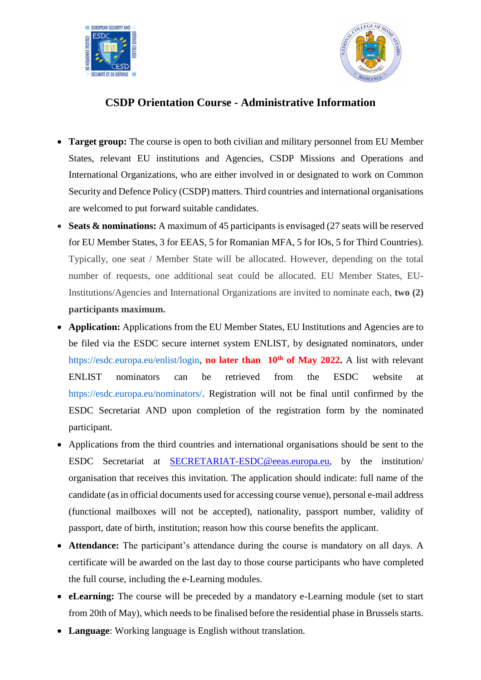



## **CSDP Orientation Course - Administrative Information**

- **Target group:** The course is open to both civilian and military personnel from EU Member States, relevant EU institutions and Agencies, CSDP Missions and Operations and International Organizations, who are either involved in or designated to work on Common Security and Defence Policy (CSDP) matters. Third countries and international organisations are welcomed to put forward suitable candidates.
- **Seats & nominations:** A maximum of 45 participants is envisaged (27 seats will be reserved for EU Member States, 3 for EEAS, 5 for Romanian MFA, 5 for IOs, 5 for Third Countries). Typically, one seat / Member State will be allocated. However, depending on the total number of requests, one additional seat could be allocated. EU Member States, EU-Institutions/Agencies and International Organizations are invited to nominate each, **two (2) participants maximum.**
- **Application:** Applications from the EU Member States, EU Institutions and Agencies are to be filed via the ESDC secure internet system ENLIST, by designated nominators, under https://esdc.europa.eu/enlist/login, **no later than 10th of May 2022.** A list with relevant ENLIST nominators can be retrieved from the ESDC website at https://esdc.europa.eu/nominators/. Registration will not be final until confirmed by the ESDC Secretariat AND upon completion of the registration form by the nominated participant.
- Applications from the third countries and international organisations should be sent to the ESDC Secretariat at [SECRETARIAT-ESDC@eeas.europa.eu,](mailto:SECRETARIAT-ESDC@eeas.europa.eu) by the institution/ organisation that receives this invitation. The application should indicate: full name of the candidate (as in official documents used for accessing course venue), personal e-mail address (functional mailboxes will not be accepted), nationality, passport number, validity of passport, date of birth, institution; reason how this course benefits the applicant.
- **Attendance:** The participant's attendance during the course is mandatory on all days. A certificate will be awarded on the last day to those course participants who have completed the full course, including the e-Learning modules.
- **eLearning:** The course will be preceded by a mandatory e-Learning module (set to start from 20th of May), which needs to be finalised before the residential phase in Brussels starts.
- **Language**: Working language is English without translation.